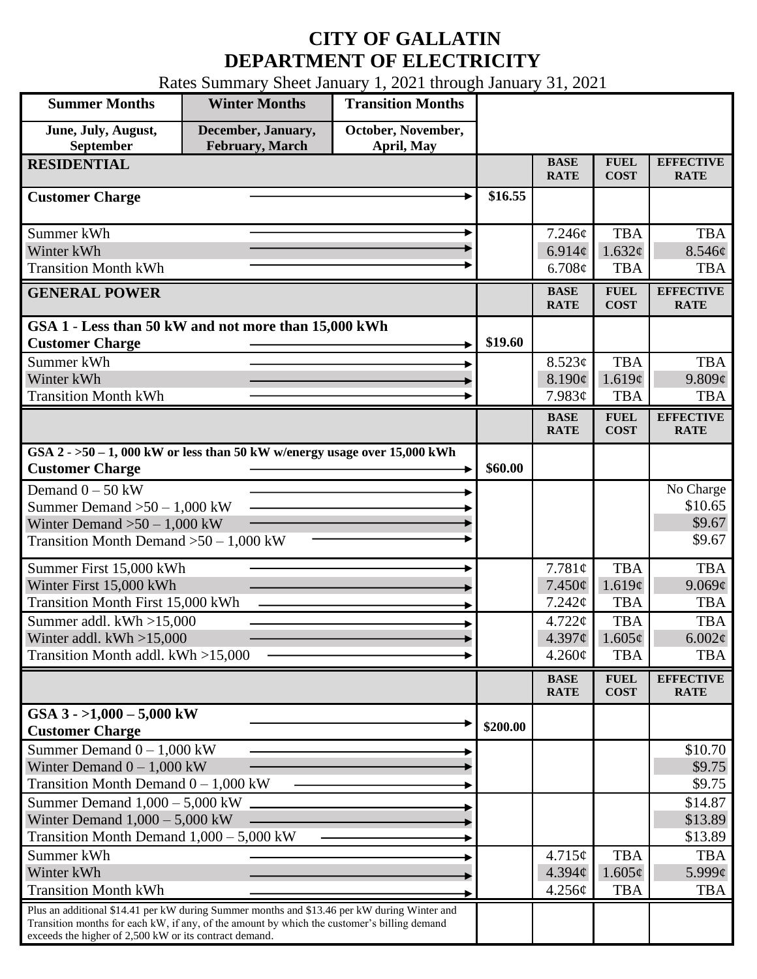## **CITY OF GALLATIN DEPARTMENT OF ELECTRICITY**

Rates Summary Sheet January 1, 2021 through January 31, 2021

| <b>Summer Months</b>                                                                                                                                                                                                                                 | <b>Winter Months</b>                  | <b>Transition Months</b>         |          |                            |                               |                                 |
|------------------------------------------------------------------------------------------------------------------------------------------------------------------------------------------------------------------------------------------------------|---------------------------------------|----------------------------------|----------|----------------------------|-------------------------------|---------------------------------|
| June, July, August,<br>September                                                                                                                                                                                                                     | December, January,<br>February, March | October, November,<br>April, May |          |                            |                               |                                 |
| <b>RESIDENTIAL</b>                                                                                                                                                                                                                                   |                                       |                                  |          | <b>BASE</b><br><b>RATE</b> | <b>FUEL</b><br><b>COST</b>    | <b>EFFECTIVE</b><br><b>RATE</b> |
| <b>Customer Charge</b>                                                                                                                                                                                                                               |                                       |                                  | \$16.55  |                            |                               |                                 |
| Summer kWh                                                                                                                                                                                                                                           |                                       |                                  |          | 7.246¢                     | <b>TBA</b>                    | <b>TBA</b>                      |
| Winter kWh                                                                                                                                                                                                                                           |                                       |                                  |          | 6.914 $\phi$               | 1.632¢                        | 8.546¢                          |
| <b>Transition Month kWh</b>                                                                                                                                                                                                                          |                                       |                                  |          | 6.708¢                     | <b>TBA</b>                    | <b>TBA</b>                      |
| <b>GENERAL POWER</b>                                                                                                                                                                                                                                 |                                       |                                  |          | <b>BASE</b><br><b>RATE</b> | <b>FUEL</b><br><b>COST</b>    | <b>EFFECTIVE</b><br><b>RATE</b> |
| GSA 1 - Less than 50 kW and not more than 15,000 kWh                                                                                                                                                                                                 |                                       |                                  |          |                            |                               |                                 |
| <b>Customer Charge</b>                                                                                                                                                                                                                               |                                       |                                  | \$19.60  |                            |                               |                                 |
| Summer kWh                                                                                                                                                                                                                                           |                                       |                                  |          | 8.523¢                     | <b>TBA</b>                    | <b>TBA</b>                      |
| Winter kWh<br><b>Transition Month kWh</b>                                                                                                                                                                                                            |                                       |                                  |          | 8.190¢<br>7.983¢           | 1.619¢<br><b>TBA</b>          | 9.809¢<br><b>TBA</b>            |
|                                                                                                                                                                                                                                                      |                                       |                                  |          | <b>BASE</b>                | <b>FUEL</b>                   | <b>EFFECTIVE</b>                |
|                                                                                                                                                                                                                                                      |                                       |                                  |          | <b>RATE</b>                | <b>COST</b>                   | <b>RATE</b>                     |
| GSA $2 - 50 - 1$ , 000 kW or less than 50 kW w/energy usage over 15,000 kWh<br><b>Customer Charge</b>                                                                                                                                                |                                       |                                  | \$60.00  |                            |                               |                                 |
| Demand $0 - 50$ kW                                                                                                                                                                                                                                   |                                       |                                  |          |                            |                               | No Charge                       |
| Summer Demand $>50-1,000$ kW                                                                                                                                                                                                                         |                                       |                                  |          |                            |                               | \$10.65                         |
| Winter Demand $>50 - 1,000$ kW                                                                                                                                                                                                                       |                                       |                                  |          |                            |                               | \$9.67                          |
| Transition Month Demand $>50-1,000$ kW                                                                                                                                                                                                               |                                       |                                  |          |                            |                               | \$9.67                          |
| Summer First 15,000 kWh                                                                                                                                                                                                                              |                                       |                                  |          | 7.781¢                     | <b>TBA</b>                    | <b>TBA</b>                      |
| Winter First 15,000 kWh                                                                                                                                                                                                                              |                                       |                                  |          | $7.450\phi$                | 1.619c                        | 9.069¢                          |
| Transition Month First 15,000 kWh                                                                                                                                                                                                                    |                                       |                                  |          | 7.242¢                     | <b>TBA</b>                    | <b>TBA</b>                      |
| Summer addl. kWh >15,000<br>Winter addl. $kWh > 15,000$                                                                                                                                                                                              |                                       |                                  |          | 4.722¢<br>4.397¢           | <b>TBA</b><br>$1.605\epsilon$ | <b>TBA</b><br>$6.002\ell$       |
| Transition Month addl. kWh >15,000                                                                                                                                                                                                                   |                                       |                                  |          | $4.260\phi$                | <b>TBA</b>                    | <b>TBA</b>                      |
|                                                                                                                                                                                                                                                      |                                       |                                  |          | <b>BASE</b>                | <b>FUEL</b>                   | <b>EFFECTIVE</b>                |
|                                                                                                                                                                                                                                                      |                                       |                                  |          | <b>RATE</b>                | <b>COST</b>                   | <b>RATE</b>                     |
| GSA $3 - 1,000 - 5,000$ kW<br><b>Customer Charge</b>                                                                                                                                                                                                 |                                       |                                  | \$200.00 |                            |                               |                                 |
| Summer Demand $0 - 1,000$ kW                                                                                                                                                                                                                         |                                       |                                  |          |                            |                               | \$10.70                         |
| Winter Demand $0 - 1,000$ kW                                                                                                                                                                                                                         |                                       |                                  |          |                            |                               | \$9.75                          |
| Transition Month Demand $0 - 1,000$ kW                                                                                                                                                                                                               |                                       |                                  |          |                            |                               | \$9.75                          |
| Summer Demand $1,000 - 5,000$ kW<br>Winter Demand $1,000 - 5,000$ kW                                                                                                                                                                                 |                                       |                                  |          |                            |                               | \$14.87<br>\$13.89              |
| Transition Month Demand $1,000 - 5,000$ kW                                                                                                                                                                                                           |                                       |                                  |          |                            |                               | \$13.89                         |
| Summer kWh                                                                                                                                                                                                                                           |                                       |                                  |          | 4.715¢                     | <b>TBA</b>                    | <b>TBA</b>                      |
| Winter kWh                                                                                                                                                                                                                                           |                                       |                                  |          | 4.394¢                     | $1.605\phi$                   | $5.999\ell$                     |
| <b>Transition Month kWh</b>                                                                                                                                                                                                                          |                                       |                                  |          | 4.256¢                     | <b>TBA</b>                    | <b>TBA</b>                      |
| Plus an additional \$14.41 per kW during Summer months and \$13.46 per kW during Winter and<br>Transition months for each kW, if any, of the amount by which the customer's billing demand<br>exceeds the higher of 2,500 kW or its contract demand. |                                       |                                  |          |                            |                               |                                 |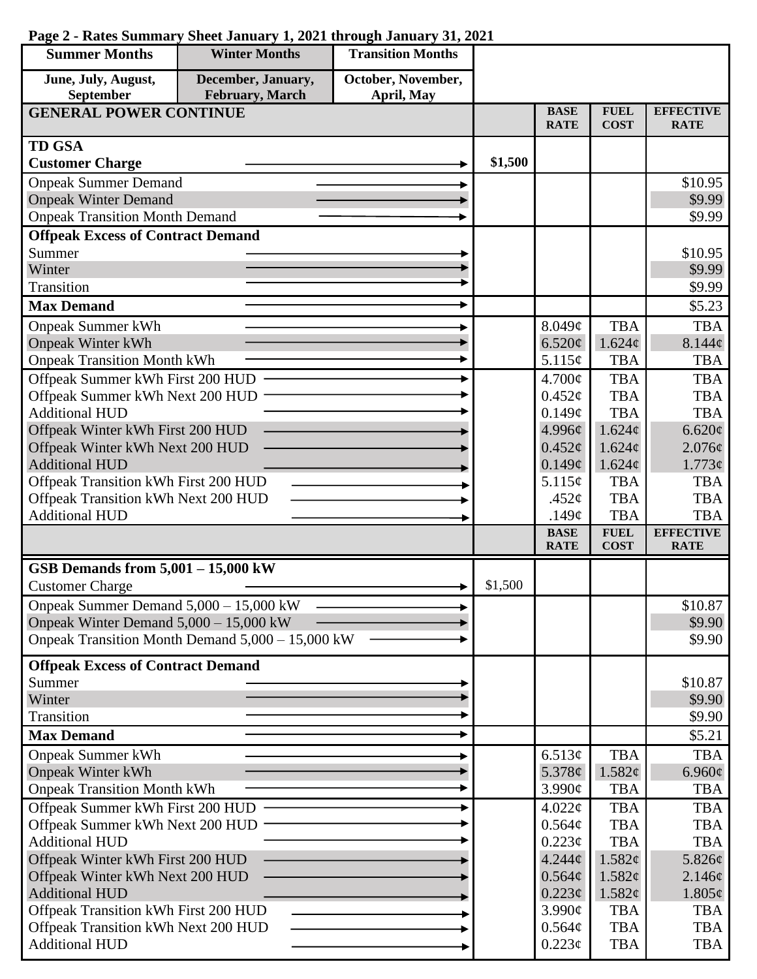| <b>Summer Months</b>                     | <b>Winter Months</b>                             | <b>Transition Months</b>         |         |                            |                            |                                 |
|------------------------------------------|--------------------------------------------------|----------------------------------|---------|----------------------------|----------------------------|---------------------------------|
| June, July, August,<br>September         | December, January,<br>February, March            | October, November,<br>April, May |         |                            |                            |                                 |
| <b>GENERAL POWER CONTINUE</b>            |                                                  |                                  |         | <b>BASE</b><br><b>RATE</b> | <b>FUEL</b><br><b>COST</b> | <b>EFFECTIVE</b><br><b>RATE</b> |
| <b>TD GSA</b>                            |                                                  |                                  |         |                            |                            |                                 |
| <b>Customer Charge</b>                   |                                                  |                                  | \$1,500 |                            |                            |                                 |
| <b>Onpeak Summer Demand</b>              |                                                  |                                  |         |                            |                            | \$10.95                         |
| <b>Onpeak Winter Demand</b>              |                                                  |                                  |         |                            |                            | \$9.99                          |
| <b>Onpeak Transition Month Demand</b>    |                                                  |                                  |         |                            |                            | \$9.99                          |
| <b>Offpeak Excess of Contract Demand</b> |                                                  |                                  |         |                            |                            |                                 |
| Summer                                   |                                                  |                                  |         |                            |                            | \$10.95                         |
| Winter                                   |                                                  |                                  |         |                            |                            | \$9.99                          |
| Transition                               |                                                  |                                  |         |                            |                            | \$9.99                          |
| <b>Max Demand</b>                        |                                                  |                                  |         |                            |                            | \$5.23                          |
| <b>Onpeak Summer kWh</b>                 |                                                  |                                  |         | 8.049¢                     | <b>TBA</b>                 | <b>TBA</b>                      |
| <b>Onpeak Winter kWh</b>                 |                                                  |                                  |         | 6.520¢                     | 1.624¢                     | 8.144¢                          |
| <b>Onpeak Transition Month kWh</b>       |                                                  |                                  |         | 5.115¢                     | <b>TBA</b>                 | <b>TBA</b>                      |
| Offpeak Summer kWh First 200 HUD         |                                                  |                                  |         | 4.700¢                     | <b>TBA</b>                 | <b>TBA</b>                      |
| Offpeak Summer kWh Next 200 HUD          |                                                  |                                  |         | $0.452\mathcal{C}$         | <b>TBA</b>                 | <b>TBA</b>                      |
| <b>Additional HUD</b>                    |                                                  |                                  |         | 0.149¢                     | <b>TBA</b>                 | <b>TBA</b>                      |
| Offpeak Winter kWh First 200 HUD         |                                                  |                                  |         | 4.996¢                     | 1.624¢                     | 6.620¢                          |
| Offpeak Winter kWh Next 200 HUD          |                                                  |                                  |         | 0.452¢                     | $1.624\ell$                | $2.076\epsilon$                 |
| <b>Additional HUD</b>                    |                                                  |                                  |         | 0.149¢                     | 1.624¢                     | $1.773\phi$                     |
| Offpeak Transition kWh First 200 HUD     |                                                  |                                  |         | 5.115¢                     | <b>TBA</b>                 | <b>TBA</b>                      |
| Offpeak Transition kWh Next 200 HUD      |                                                  |                                  |         | .452 $\phi$                | <b>TBA</b>                 | <b>TBA</b>                      |
| <b>Additional HUD</b>                    |                                                  |                                  |         | .149 $\phi$                | <b>TBA</b>                 | <b>TBA</b>                      |
|                                          |                                                  |                                  |         | <b>BASE</b><br><b>RATE</b> | <b>FUEL</b><br><b>COST</b> | <b>EFFECTIVE</b><br><b>RATE</b> |
| GSB Demands from $5,001 - 15,000$ kW     |                                                  |                                  |         |                            |                            |                                 |
| <b>Customer Charge</b>                   |                                                  |                                  | \$1,500 |                            |                            |                                 |
| Onpeak Summer Demand 5,000 - 15,000 kW   |                                                  |                                  |         |                            |                            | \$10.87                         |
| Onpeak Winter Demand $5,000 - 15,000$ kW |                                                  |                                  |         |                            |                            | \$9.90                          |
|                                          | Onpeak Transition Month Demand 5,000 - 15,000 kW |                                  |         |                            |                            | \$9.90                          |
| <b>Offpeak Excess of Contract Demand</b> |                                                  |                                  |         |                            |                            |                                 |
| Summer                                   |                                                  |                                  |         |                            |                            | \$10.87                         |
| Winter                                   |                                                  |                                  |         |                            |                            | \$9.90                          |
| Transition                               |                                                  |                                  |         |                            |                            | \$9.90                          |
| <b>Max Demand</b>                        |                                                  |                                  |         |                            |                            | \$5.21                          |
| <b>Onpeak Summer kWh</b>                 |                                                  |                                  |         | 6.513¢                     | <b>TBA</b>                 | <b>TBA</b>                      |
| <b>Onpeak Winter kWh</b>                 |                                                  |                                  |         | 5.378 $\phi$               | 1.582¢                     | 6.960 $\phi$                    |
| <b>Onpeak Transition Month kWh</b>       |                                                  |                                  |         | 3.990¢                     | <b>TBA</b>                 | <b>TBA</b>                      |
| Offpeak Summer kWh First 200 HUD         |                                                  |                                  |         | 4.022¢                     | <b>TBA</b>                 | <b>TBA</b>                      |
| Offpeak Summer kWh Next 200 HUD          |                                                  |                                  |         | 0.564¢                     | <b>TBA</b>                 | <b>TBA</b>                      |
| <b>Additional HUD</b>                    |                                                  |                                  |         | 0.223¢                     | <b>TBA</b>                 | <b>TBA</b>                      |
| Offpeak Winter kWh First 200 HUD         |                                                  |                                  |         | 4.244¢                     | 1.582¢                     | 5.826¢                          |
| Offpeak Winter kWh Next 200 HUD          |                                                  |                                  |         | 0.564¢                     | 1.582¢                     | 2.146¢                          |
| <b>Additional HUD</b>                    |                                                  |                                  |         | 0.223¢                     | 1.582¢                     | $1.805\phi$                     |
| Offpeak Transition kWh First 200 HUD     |                                                  |                                  |         | 3.990¢                     | <b>TBA</b>                 | <b>TBA</b>                      |
| Offpeak Transition kWh Next 200 HUD      |                                                  |                                  |         | 0.564¢                     | <b>TBA</b>                 | <b>TBA</b>                      |
| <b>Additional HUD</b>                    |                                                  |                                  |         | $0.223\phi$                | <b>TBA</b>                 | <b>TBA</b>                      |

## **Page 2 - Rates Summary Sheet January 1, 2021 through January 31, 2021**

L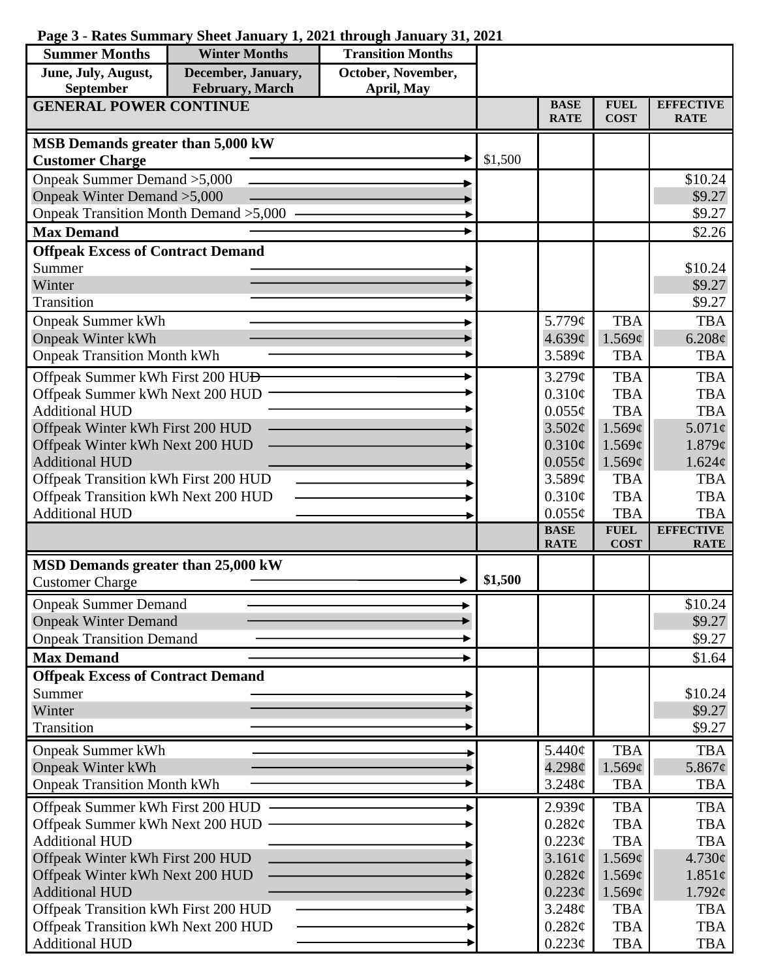## **Page 3 - Rates Summary Sheet January 1, 2021 through January 31, 2021**

| <b>Summer Months</b>                                                        | <b>Winter Months</b> | <b>Transition Months</b> |         |                            |                            |                                 |
|-----------------------------------------------------------------------------|----------------------|--------------------------|---------|----------------------------|----------------------------|---------------------------------|
| June, July, August,                                                         | December, January,   | October, November,       |         |                            |                            |                                 |
| February, March<br>September<br>April, May<br><b>GENERAL POWER CONTINUE</b> |                      |                          |         |                            |                            |                                 |
|                                                                             |                      |                          |         | <b>BASE</b><br><b>RATE</b> | <b>FUEL</b><br><b>COST</b> | <b>EFFECTIVE</b><br><b>RATE</b> |
| MSB Demands greater than 5,000 kW                                           |                      |                          |         |                            |                            |                                 |
| <b>Customer Charge</b>                                                      |                      |                          | \$1,500 |                            |                            |                                 |
| Onpeak Summer Demand > 5,000                                                |                      |                          |         |                            |                            | \$10.24                         |
| Onpeak Winter Demand > 5,000                                                |                      |                          |         |                            |                            | \$9.27                          |
| Onpeak Transition Month Demand > 5,000                                      |                      |                          |         |                            |                            | \$9.27                          |
| <b>Max Demand</b>                                                           |                      |                          |         |                            |                            | \$2.26                          |
| <b>Offpeak Excess of Contract Demand</b>                                    |                      |                          |         |                            |                            |                                 |
| Summer                                                                      |                      |                          |         |                            |                            | \$10.24                         |
| Winter                                                                      |                      |                          |         |                            |                            | \$9.27                          |
| Transition                                                                  |                      |                          |         |                            |                            | \$9.27                          |
| <b>Onpeak Summer kWh</b>                                                    |                      |                          |         | 5.779¢                     | <b>TBA</b>                 | <b>TBA</b>                      |
| <b>Onpeak Winter kWh</b>                                                    |                      |                          |         | 4.639¢                     | 1.569¢                     | 6.208¢                          |
| <b>Onpeak Transition Month kWh</b>                                          |                      |                          |         | 3.589¢                     | <b>TBA</b>                 | <b>TBA</b>                      |
| Offpeak Summer kWh First 200 HU <del>D</del>                                |                      |                          |         | 3.279¢                     | <b>TBA</b>                 | <b>TBA</b>                      |
| Offpeak Summer kWh Next 200 HUD                                             |                      |                          |         | 0.310¢                     | <b>TBA</b>                 | <b>TBA</b>                      |
| <b>Additional HUD</b>                                                       |                      |                          |         | $0.055\phi$                | <b>TBA</b>                 | <b>TBA</b>                      |
| Offpeak Winter kWh First 200 HUD                                            |                      |                          |         | 3.502¢                     | 1.569¢                     | $5.071\phi$                     |
| Offpeak Winter kWh Next 200 HUD                                             |                      |                          |         | $0.310\phi$                | 1.569¢                     | 1.879¢                          |
| <b>Additional HUD</b>                                                       |                      |                          |         | $0.055\phi$<br>3.589¢      | 1.569¢<br><b>TBA</b>       | 1.624¢<br><b>TBA</b>            |
| Offpeak Transition kWh First 200 HUD<br>Offpeak Transition kWh Next 200 HUD |                      |                          |         | $0.310\phi$                | <b>TBA</b>                 | <b>TBA</b>                      |
| <b>Additional HUD</b>                                                       |                      |                          |         | $0.055\phi$                | <b>TBA</b>                 | <b>TBA</b>                      |
|                                                                             |                      |                          |         | <b>BASE</b>                | <b>FUEL</b>                | <b>EFFECTIVE</b>                |
|                                                                             |                      |                          |         | <b>RATE</b>                | <b>COST</b>                | <b>RATE</b>                     |
| MSD Demands greater than 25,000 kW                                          |                      |                          |         |                            |                            |                                 |
| <b>Customer Charge</b>                                                      |                      |                          | \$1,500 |                            |                            |                                 |
| <b>Onpeak Summer Demand</b>                                                 |                      |                          |         |                            |                            | \$10.24                         |
| <b>Onpeak Winter Demand</b>                                                 |                      |                          |         |                            |                            | \$9.27                          |
| <b>Onpeak Transition Demand</b>                                             |                      |                          |         |                            |                            | \$9.27                          |
| <b>Max Demand</b>                                                           |                      |                          |         |                            |                            | \$1.64                          |
| <b>Offpeak Excess of Contract Demand</b>                                    |                      |                          |         |                            |                            |                                 |
| Summer                                                                      |                      |                          |         |                            |                            | \$10.24                         |
| Winter                                                                      |                      |                          |         |                            |                            | \$9.27                          |
| Transition                                                                  |                      |                          |         |                            |                            | \$9.27                          |
| <b>Onpeak Summer kWh</b>                                                    |                      |                          |         | 5.440¢                     | <b>TBA</b>                 | <b>TBA</b>                      |
| <b>Onpeak Winter kWh</b>                                                    |                      |                          |         | 4.298¢                     | 1.569¢                     | 5.867 $\phi$                    |
| <b>Onpeak Transition Month kWh</b>                                          |                      |                          |         | 3.248¢                     | <b>TBA</b>                 | <b>TBA</b>                      |
| Offpeak Summer kWh First 200 HUD                                            |                      |                          |         | 2.939¢                     | <b>TBA</b>                 | <b>TBA</b>                      |
| Offpeak Summer kWh Next 200 HUD                                             |                      |                          |         | 0.282¢                     | <b>TBA</b>                 | <b>TBA</b>                      |
| <b>Additional HUD</b>                                                       |                      |                          |         | $0.223\phi$                | <b>TBA</b>                 | <b>TBA</b>                      |
| Offpeak Winter kWh First 200 HUD                                            |                      |                          |         | $3.161\phi$                | 1.569¢                     | 4.730¢                          |
| Offpeak Winter kWh Next 200 HUD                                             |                      |                          |         | $0.282\phi$                | 1.569¢                     | $1.851\phi$                     |
| <b>Additional HUD</b>                                                       |                      |                          |         | $0.223\phi$                | 1.569¢                     | $1.792\epsilon$                 |
| Offpeak Transition kWh First 200 HUD                                        |                      |                          |         | 3.248¢                     | <b>TBA</b>                 | <b>TBA</b>                      |
| Offpeak Transition kWh Next 200 HUD                                         |                      |                          |         | 0.282¢                     | <b>TBA</b>                 | <b>TBA</b>                      |
| <b>Additional HUD</b>                                                       |                      |                          |         | $0.223\phi$                | <b>TBA</b>                 | <b>TBA</b>                      |